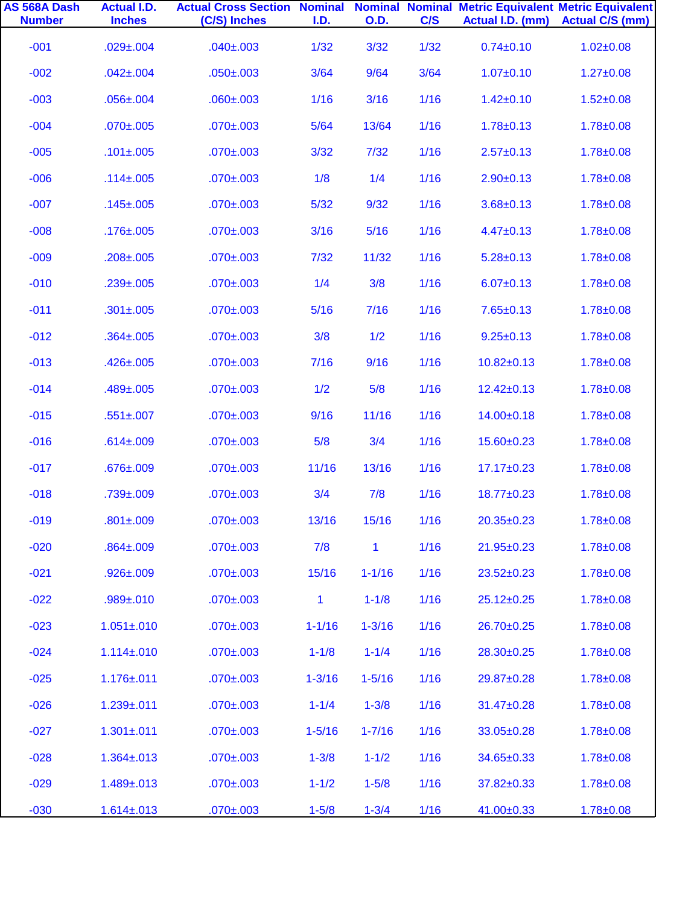| AS 568A Dash<br><b>Number</b> | <b>Actual I.D.</b><br><b>Inches</b> | <b>Actual Cross Section Nominal Nominal Nominal Metric Equivalent Metric Equivalent</b><br>(C/S) Inches | I.D.         | <b>O.D.</b>  | C/S  | Actual I.D. (mm) | <b>Actual C/S (mm)</b> |
|-------------------------------|-------------------------------------|---------------------------------------------------------------------------------------------------------|--------------|--------------|------|------------------|------------------------|
| $-001$                        | $.029 \pm .004$                     | $.040 \pm .003$                                                                                         | 1/32         | 3/32         | 1/32 | $0.74 \pm 0.10$  | $1.02 \pm 0.08$        |
| $-002$                        | $.042 \pm .004$                     | $.050 \pm .003$                                                                                         | 3/64         | 9/64         | 3/64 | $1.07 \pm 0.10$  | $1.27 \pm 0.08$        |
| $-003$                        | $.056 \pm .004$                     | $.060 \pm .003$                                                                                         | 1/16         | 3/16         | 1/16 | $1.42 \pm 0.10$  | $1.52 \pm 0.08$        |
| $-004$                        | $.070 \pm .005$                     | $.070 \pm .003$                                                                                         | 5/64         | 13/64        | 1/16 | $1.78 \pm 0.13$  | $1.78 \pm 0.08$        |
| $-005$                        | $.101 \pm .005$                     | $.070 \pm .003$                                                                                         | 3/32         | $7/32$       | 1/16 | $2.57 \pm 0.13$  | $1.78 \pm 0.08$        |
| $-006$                        | $.114 \pm .005$                     | $.070 \pm .003$                                                                                         | 1/8          | 1/4          | 1/16 | $2.90 \pm 0.13$  | $1.78 \pm 0.08$        |
| $-007$                        | $.145 \pm 0.005$                    | $.070 \pm .003$                                                                                         | $5/32$       | 9/32         | 1/16 | $3.68 \pm 0.13$  | $1.78 \pm 0.08$        |
| $-008$                        | $.176 \pm 0.005$                    | $.070 \pm .003$                                                                                         | 3/16         | 5/16         | 1/16 | $4.47 \pm 0.13$  | $1.78 \pm 0.08$        |
| $-009$                        | $.208 \pm .005$                     | $.070 \pm .003$                                                                                         | $7/32$       | 11/32        | 1/16 | $5.28 \pm 0.13$  | $1.78 \pm 0.08$        |
| $-010$                        | $.239 \pm .005$                     | $.070 \pm .003$                                                                                         | 1/4          | 3/8          | 1/16 | $6.07 \pm 0.13$  | $1.78 \pm 0.08$        |
| $-011$                        | $.301 \pm .005$                     | $.070 \pm .003$                                                                                         | 5/16         | 7/16         | 1/16 | $7.65 \pm 0.13$  | $1.78 \pm 0.08$        |
| $-012$                        | $.364 \pm .005$                     | $.070 \pm .003$                                                                                         | 3/8          | 1/2          | 1/16 | $9.25 \pm 0.13$  | $1.78 \pm 0.08$        |
| $-013$                        | $.426 \pm .005$                     | $.070 \pm .003$                                                                                         | 7/16         | 9/16         | 1/16 | $10.82 \pm 0.13$ | $1.78 \pm 0.08$        |
| $-014$                        | $.489 \pm .005$                     | $.070 \pm .003$                                                                                         | 1/2          | 5/8          | 1/16 | $12.42 \pm 0.13$ | $1.78 \pm 0.08$        |
| $-015$                        | $.551 \pm .007$                     | $.070 \pm .003$                                                                                         | 9/16         | 11/16        | 1/16 | 14.00±0.18       | $1.78 \pm 0.08$        |
| $-016$                        | $.614 \pm .009$                     | $.070 \pm .003$                                                                                         | 5/8          | 3/4          | 1/16 | 15.60±0.23       | $1.78 \pm 0.08$        |
| $-017$                        | $.676 \pm .009$                     | $.070 \pm .003$                                                                                         | 11/16        | 13/16        | 1/16 | $17.17 \pm 0.23$ | $1.78 \pm 0.08$        |
| $-018$                        | $.739 \pm .009$                     | $.070 \pm .003$                                                                                         | 3/4          | 7/8          | 1/16 | 18.77±0.23       | $1.78 \pm 0.08$        |
| $-019$                        | $.801 \pm .009$                     | $.070 \pm .003$                                                                                         | 13/16        | 15/16        | 1/16 | 20.35±0.23       | $1.78 + 0.08$          |
| $-020$                        | $.864 \pm .009$                     | $.070 \pm .003$                                                                                         | 7/8          | $\mathbf{1}$ | 1/16 | $21.95 \pm 0.23$ | $1.78 \pm 0.08$        |
| $-021$                        | $.926 \pm .009$                     | $.070 \pm .003$                                                                                         | 15/16        | $1 - 1/16$   | 1/16 | $23.52 \pm 0.23$ | $1.78 \pm 0.08$        |
| $-022$                        | $.989 \pm .010$                     | $.070 \pm .003$                                                                                         | $\mathbf{1}$ | $1 - 1/8$    | 1/16 | $25.12 \pm 0.25$ | $1.78 \pm 0.08$        |
| $-023$                        | $1.051 \pm 0.010$                   | $.070 \pm .003$                                                                                         | $1 - 1/16$   | $1 - 3/16$   | 1/16 | 26.70±0.25       | $1.78 \pm 0.08$        |
| $-024$                        | $1.114 \pm 0.010$                   | $.070 \pm .003$                                                                                         | $1 - 1/8$    | $1 - 1/4$    | 1/16 | 28.30±0.25       | $1.78 \pm 0.08$        |
| $-025$                        | $1.176 \pm 0.011$                   | $.070 \pm .003$                                                                                         | $1 - 3/16$   | $1 - 5/16$   | 1/16 | 29.87±0.28       | $1.78 \pm 0.08$        |
| $-026$                        | $1.239 \pm 0.011$                   | $.070 \pm .003$                                                                                         | $1 - 1/4$    | $1 - 3/8$    | 1/16 | 31.47±0.28       | $1.78 \pm 0.08$        |
| $-027$                        | $1.301 \pm 0.011$                   | $.070 \pm .003$                                                                                         | $1 - 5/16$   | $1 - 7/16$   | 1/16 | 33.05±0.28       | $1.78 \pm 0.08$        |
| $-028$                        | $1.364 \pm 0.013$                   | $.070 \pm .003$                                                                                         | $1 - 3/8$    | $1 - 1/2$    | 1/16 | 34.65±0.33       | $1.78 \pm 0.08$        |
| $-029$                        | $1.489 \pm 0.013$                   | $.070 \pm .003$                                                                                         | $1 - 1/2$    | $1 - 5/8$    | 1/16 | 37.82±0.33       | $1.78 \pm 0.08$        |
| $-030$                        | $1.614 \pm 0.013$                   | $.070 \pm .003$                                                                                         | $1 - 5/8$    | $1 - 3/4$    | 1/16 | 41.00±0.33       | $1.78 \pm 0.08$        |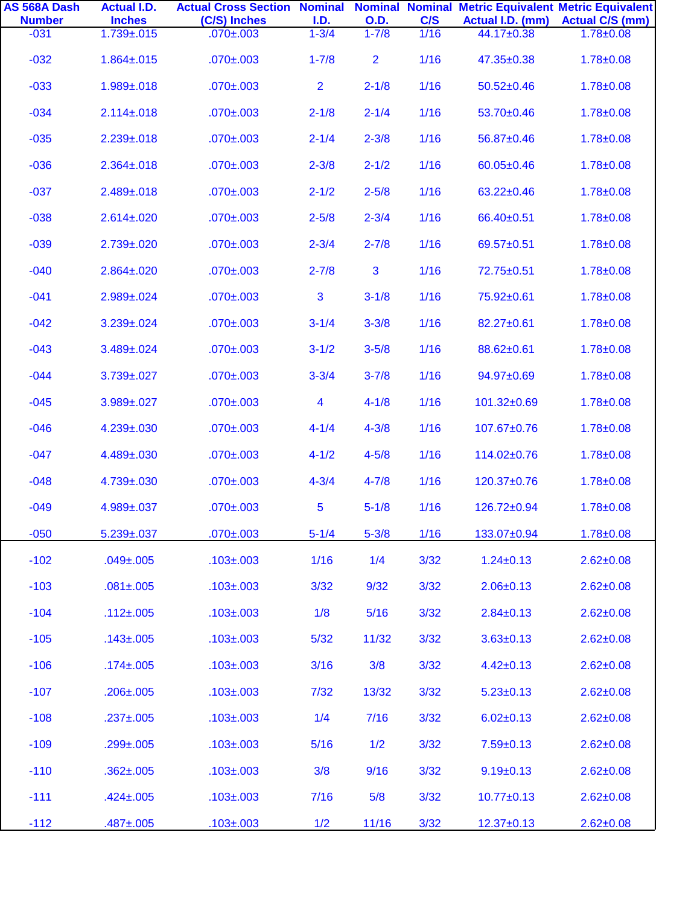| AS 568A Dash<br><b>Number</b> | <b>Actual I.D.</b><br><b>Inches</b> | <b>Actual Cross Section Nominal Nominal Nominal Metric Equivalent Metric Equivalent</b><br>(C/S) Inches | I.D.                    | <b>O.D.</b> | C/S  | Actual I.D. (mm) | <b>Actual C/S (mm)</b> |
|-------------------------------|-------------------------------------|---------------------------------------------------------------------------------------------------------|-------------------------|-------------|------|------------------|------------------------|
| $-031$                        | $1.739 + 0.015$                     | $.070 \pm .003$                                                                                         | $1 - 3/4$               | $1 - 7/8$   | 1/16 | 44.17±0.38       | $1.78 \pm 0.08$        |
| $-032$                        | $1.864 \pm 0.015$                   | $.070 \pm .003$                                                                                         | $1 - 7/8$               | 2           | 1/16 | 47.35±0.38       | $1.78 \pm 0.08$        |
| $-033$                        | $1.989 + .018$                      | $.070 \pm .003$                                                                                         | $\overline{2}$          | $2 - 1/8$   | 1/16 | $50.52 \pm 0.46$ | $1.78 \pm 0.08$        |
| $-034$                        | $2.114 \pm 0.018$                   | $.070 \pm .003$                                                                                         | $2 - 1/8$               | $2 - 1/4$   | 1/16 | 53.70±0.46       | $1.78 \pm 0.08$        |
| $-035$                        | $2.239 \pm 0.018$                   | $.070 \pm .003$                                                                                         | $2 - 1/4$               | $2 - 3/8$   | 1/16 | 56.87±0.46       | $1.78 \pm 0.08$        |
| $-036$                        | $2.364 \pm 0.018$                   | $.070 \pm .003$                                                                                         | $2 - 3/8$               | $2 - 1/2$   | 1/16 | $60.05 \pm 0.46$ | $1.78 \pm 0.08$        |
| $-037$                        | $2.489 \pm 0.018$                   | $.070 \pm .003$                                                                                         | $2 - 1/2$               | $2 - 5/8$   | 1/16 | $63.22 \pm 0.46$ | $1.78 \pm 0.08$        |
| $-038$                        | $2.614 \pm 0.020$                   | $.070 \pm .003$                                                                                         | $2 - 5/8$               | $2 - 3/4$   | 1/16 | 66.40±0.51       | $1.78 \pm 0.08$        |
| $-039$                        | $2.739 \pm 0.020$                   | $.070 \pm .003$                                                                                         | $2 - 3/4$               | $2 - 7/8$   | 1/16 | 69.57±0.51       | $1.78 \pm 0.08$        |
| $-040$                        | $2.864 \pm 0.020$                   | $.070 \pm .003$                                                                                         | $2 - 7/8$               | 3           | 1/16 | 72.75±0.51       | $1.78 \pm 0.08$        |
| $-041$                        | $2.989 \pm 0.024$                   | $.070 \pm .003$                                                                                         | 3                       | $3 - 1/8$   | 1/16 | 75.92±0.61       | $1.78 \pm 0.08$        |
| $-042$                        | $3.239 \pm 0.024$                   | $.070 \pm .003$                                                                                         | $3 - 1/4$               | $3 - 3/8$   | 1/16 | 82.27±0.61       | $1.78 \pm 0.08$        |
| $-043$                        | 3.489±.024                          | $.070 \pm .003$                                                                                         | $3 - 1/2$               | $3 - 5/8$   | 1/16 | 88.62±0.61       | $1.78 + 0.08$          |
| $-044$                        | $3.739 \pm 0.027$                   | $.070 \pm .003$                                                                                         | $3 - 3/4$               | $3 - 7/8$   | 1/16 | 94.97±0.69       | $1.78 \pm 0.08$        |
| $-045$                        | $3.989 \pm 0.027$                   | $.070 \pm .003$                                                                                         | $\overline{\mathbf{4}}$ | $4 - 1/8$   | 1/16 | 101.32±0.69      | $1.78 \pm 0.08$        |
| $-046$                        | 4.239±.030                          | $.070 \pm .003$                                                                                         | $4 - 1/4$               | $4 - 3/8$   | 1/16 | 107.67±0.76      | $1.78 + 0.08$          |
| $-047$                        | 4.489±.030                          | $.070 \pm .003$                                                                                         | $4 - 1/2$               | $4 - 5/8$   | 1/16 | 114.02±0.76      | $1.78 \pm 0.08$        |
| $-048$                        | 4.739±.030                          | $.070 \pm .003$                                                                                         | $4 - 3/4$               | $4 - 7/8$   | 1/16 | 120.37±0.76      | $1.78 \pm 0.08$        |
| $-049$                        | 4.989±.037                          | $.070 \pm .003$                                                                                         | 5                       | $5 - 1/8$   | 1/16 | 126.72±0.94      | $1.78 + 0.08$          |
| $-050$                        | $5.239 \pm 0.037$                   | $.070 \pm .003$                                                                                         | $5 - 1/4$               | $5 - 3/8$   | 1/16 | 133.07±0.94      | $1.78 \pm 0.08$        |
| $-102$                        | $.049 \pm .005$                     | $.103 \pm .003$                                                                                         | 1/16                    | 1/4         | 3/32 | $1.24 \pm 0.13$  | $2.62 \pm 0.08$        |
| $-103$                        | $.081 \pm .005$                     | $.103 \pm .003$                                                                                         | 3/32                    | 9/32        | 3/32 | $2.06 \pm 0.13$  | $2.62 \pm 0.08$        |
| $-104$                        | $.112 \pm .005$                     | $.103 \pm .003$                                                                                         | 1/8                     | 5/16        | 3/32 | $2.84 \pm 0.13$  | $2.62 \pm 0.08$        |
| $-105$                        | $.143 \pm .005$                     | $.103 \pm .003$                                                                                         | 5/32                    | 11/32       | 3/32 | $3.63 \pm 0.13$  | $2.62 \pm 0.08$        |
| $-106$                        | $.174 \pm 0.005$                    | $.103 \pm .003$                                                                                         | 3/16                    | 3/8         | 3/32 | $4.42 \pm 0.13$  | $2.62 \pm 0.08$        |
| $-107$                        | $.206 \pm .005$                     | $.103 \pm .003$                                                                                         | 7/32                    | 13/32       | 3/32 | $5.23 \pm 0.13$  | $2.62 \pm 0.08$        |
| $-108$                        | $.237 \pm .005$                     | $.103 \pm .003$                                                                                         | 1/4                     | 7/16        | 3/32 | $6.02 \pm 0.13$  | $2.62 \pm 0.08$        |
| $-109$                        | $.299 + .005$                       | $.103 \pm .003$                                                                                         | 5/16                    | 1/2         | 3/32 | $7.59 \pm 0.13$  | $2.62 \pm 0.08$        |
| $-110$                        | $.362 \pm .005$                     | $.103 \pm .003$                                                                                         | 3/8                     | 9/16        | 3/32 | $9.19 \pm 0.13$  | $2.62 \pm 0.08$        |
| $-111$                        | $.424 \pm .005$                     | $.103 \pm .003$                                                                                         | 7/16                    | 5/8         | 3/32 | $10.77 \pm 0.13$ | $2.62 \pm 0.08$        |
| $-112$                        | $.487 + .005$                       | $.103 + .003$                                                                                           | 1/2                     | 11/16       | 3/32 | $12.37+0.13$     | $2.62 \pm 0.08$        |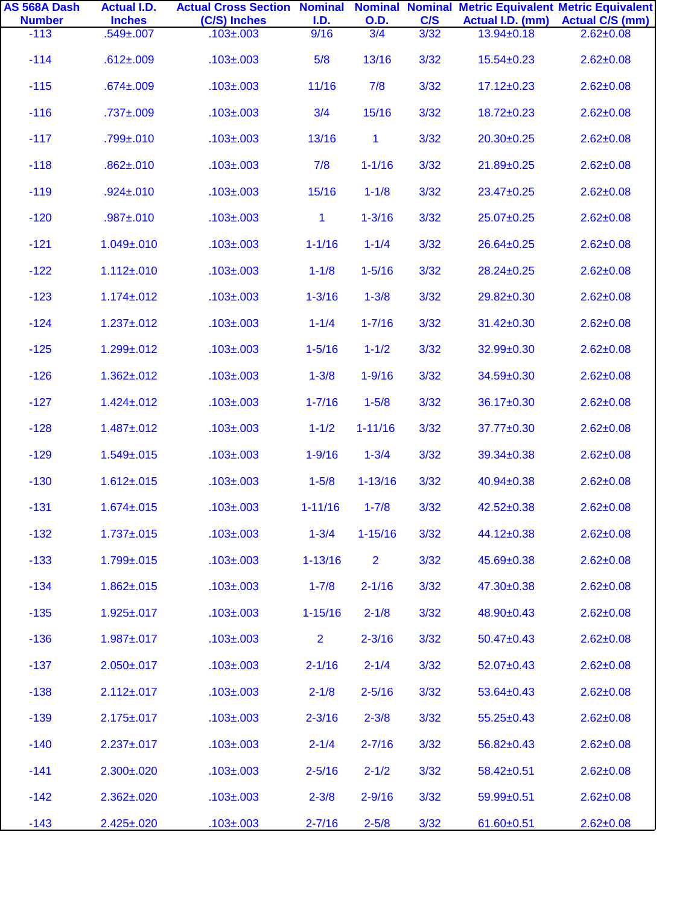| AS 568A Dash<br><b>Number</b> | <b>Actual I.D.</b><br><b>Inches</b> | <b>Actual Cross Section Nominal Nominal Nominal Metric Equivalent Metric Equivalent</b><br>(C/S) Inches | <b>I.D.</b>    | <b>O.D.</b>    | C/S  | Actual I.D. (mm) | <b>Actual C/S (mm)</b> |
|-------------------------------|-------------------------------------|---------------------------------------------------------------------------------------------------------|----------------|----------------|------|------------------|------------------------|
| $-113$                        | $.549 \pm 0.007$                    | $.103 \pm .003$                                                                                         | 9/16           | 3/4            | 3/32 | $13.94 \pm 0.18$ | $2.62 \pm 0.08$        |
| $-114$                        | $.612 \pm .009$                     | $.103 \pm .003$                                                                                         | 5/8            | 13/16          | 3/32 | $15.54 \pm 0.23$ | $2.62 \pm 0.08$        |
| $-115$                        | $.674 \pm .009$                     | $.103 \pm .003$                                                                                         | 11/16          | 7/8            | 3/32 | $17.12 \pm 0.23$ | $2.62 \pm 0.08$        |
| $-116$                        | $.737 \pm .009$                     | $.103 \pm .003$                                                                                         | 3/4            | 15/16          | 3/32 | $18.72 \pm 0.23$ | $2.62 \pm 0.08$        |
| $-117$                        | $.799 + .010$                       | $.103 \pm .003$                                                                                         | 13/16          | $\mathbf{1}$   | 3/32 | $20.30+0.25$     | $2.62 \pm 0.08$        |
| $-118$                        | $.862 \pm .010$                     | $.103 \pm .003$                                                                                         | 7/8            | $1 - 1/16$     | 3/32 | 21.89±0.25       | $2.62 \pm 0.08$        |
| $-119$                        | $.924 \pm .010$                     | $.103 \pm .003$                                                                                         | 15/16          | $1 - 1/8$      | 3/32 | 23.47±0.25       | $2.62 \pm 0.08$        |
| $-120$                        | $.987 + .010$                       | $.103 \pm .003$                                                                                         | $\mathbf{1}$   | $1 - 3/16$     | 3/32 | 25.07±0.25       | $2.62 \pm 0.08$        |
| $-121$                        | $1.049 + 0.010$                     | $.103 \pm .003$                                                                                         | $1 - 1/16$     | $1 - 1/4$      | 3/32 | 26.64±0.25       | $2.62 \pm 0.08$        |
| $-122$                        | $1.112 \pm 0.010$                   | $.103 \pm .003$                                                                                         | $1 - 1/8$      | $1 - 5/16$     | 3/32 | 28.24±0.25       | $2.62 \pm 0.08$        |
| $-123$                        | $1.174 \pm 0.012$                   | $.103 \pm .003$                                                                                         | $1 - 3/16$     | $1 - 3/8$      | 3/32 | 29.82±0.30       | $2.62 \pm 0.08$        |
| $-124$                        | $1.237 + 0.012$                     | $.103 \pm .003$                                                                                         | $1 - 1/4$      | $1 - 7/16$     | 3/32 | $31.42 \pm 0.30$ | $2.62 \pm 0.08$        |
| $-125$                        | $1.299 + .012$                      | $.103 \pm .003$                                                                                         | $1 - 5/16$     | $1 - 1/2$      | 3/32 | 32.99±0.30       | $2.62 \pm 0.08$        |
| $-126$                        | $1.362 \pm 0.012$                   | $.103 \pm .003$                                                                                         | $1 - 3/8$      | $1 - 9/16$     | 3/32 | 34.59±0.30       | $2.62 \pm 0.08$        |
| $-127$                        | $1.424 \pm 0.012$                   | $.103 \pm .003$                                                                                         | $1 - 7/16$     | $1 - 5/8$      | 3/32 | 36.17±0.30       | $2.62 \pm 0.08$        |
| $-128$                        | $1.487 + 0.012$                     | $.103 \pm .003$                                                                                         | $1 - 1/2$      | $1 - 11/16$    | 3/32 | 37.77±0.30       | $2.62 \pm 0.08$        |
| $-129$                        | $1.549 \pm 0.015$                   | $.103 \pm .003$                                                                                         | $1 - 9/16$     | $1 - 3/4$      | 3/32 | 39.34±0.38       | $2.62 \pm 0.08$        |
| $-130$                        | $1.612 \pm .015$                    | $.103 \pm .003$                                                                                         | $1 - 5/8$      | $1 - 13/16$    | 3/32 | 40.94±0.38       | $2.62 \pm 0.08$        |
| $-131$                        | $1.674 \pm 0.015$                   | $.103 \pm .003$                                                                                         | $1 - 11/16$    | $1 - 7/8$      | 3/32 | 42.52±0.38       | $2.62 \pm 0.08$        |
| $-132$                        | $1.737 + 0.015$                     | $.103 \pm .003$                                                                                         | $1 - 3/4$      | $1 - 15/16$    | 3/32 | 44.12±0.38       | $2.62 \pm 0.08$        |
| $-133$                        | $1.799 + .015$                      | $.103 \pm .003$                                                                                         | $1 - 13/16$    | $\overline{2}$ | 3/32 | 45.69±0.38       | $2.62 \pm 0.08$        |
| $-134$                        | $1.862 \pm .015$                    | $.103 \pm .003$                                                                                         | $1 - 7/8$      | $2 - 1/16$     | 3/32 | 47.30±0.38       | $2.62 \pm 0.08$        |
| $-135$                        | $1.925 \pm 0.017$                   | $.103 \pm .003$                                                                                         | $1 - 15/16$    | $2 - 1/8$      | 3/32 | 48.90±0.43       | $2.62 \pm 0.08$        |
| $-136$                        | $1.987 + 0.017$                     | $.103 \pm .003$                                                                                         | $\overline{2}$ | $2 - 3/16$     | 3/32 | $50.47 \pm 0.43$ | $2.62 \pm 0.08$        |
| $-137$                        | $2.050 \pm 0.017$                   | $.103 \pm .003$                                                                                         | $2 - 1/16$     | $2 - 1/4$      | 3/32 | $52.07 \pm 0.43$ | $2.62 \pm 0.08$        |
| $-138$                        | $2.112 \pm 0.017$                   | $.103 \pm .003$                                                                                         | $2 - 1/8$      | $2 - 5/16$     | 3/32 | $53.64 \pm 0.43$ | $2.62 \pm 0.08$        |
| $-139$                        | $2.175 \pm 0.017$                   | $.103 \pm .003$                                                                                         | $2 - 3/16$     | $2 - 3/8$      | 3/32 | $55.25 \pm 0.43$ | $2.62 \pm 0.08$        |
| $-140$                        | $2.237 \pm 0.017$                   | $.103 \pm .003$                                                                                         | $2 - 1/4$      | $2 - 7/16$     | 3/32 | $56.82 \pm 0.43$ | $2.62 \pm 0.08$        |
| $-141$                        | $2.300 \pm 0.020$                   | $.103 \pm .003$                                                                                         | $2 - 5/16$     | $2 - 1/2$      | 3/32 | $58.42 \pm 0.51$ | $2.62 \pm 0.08$        |
| $-142$                        | $2.362 \pm 0.020$                   | $.103 \pm .003$                                                                                         | $2 - 3/8$      | $2 - 9/16$     | 3/32 | $59.99 \pm 0.51$ | $2.62 \pm 0.08$        |
| $-143$                        | $2.425 \pm 0.020$                   | $.103 \pm .003$                                                                                         | $2 - 7/16$     | $2 - 5/8$      | 3/32 | $61.60 \pm 0.51$ | $2.62 \pm 0.08$        |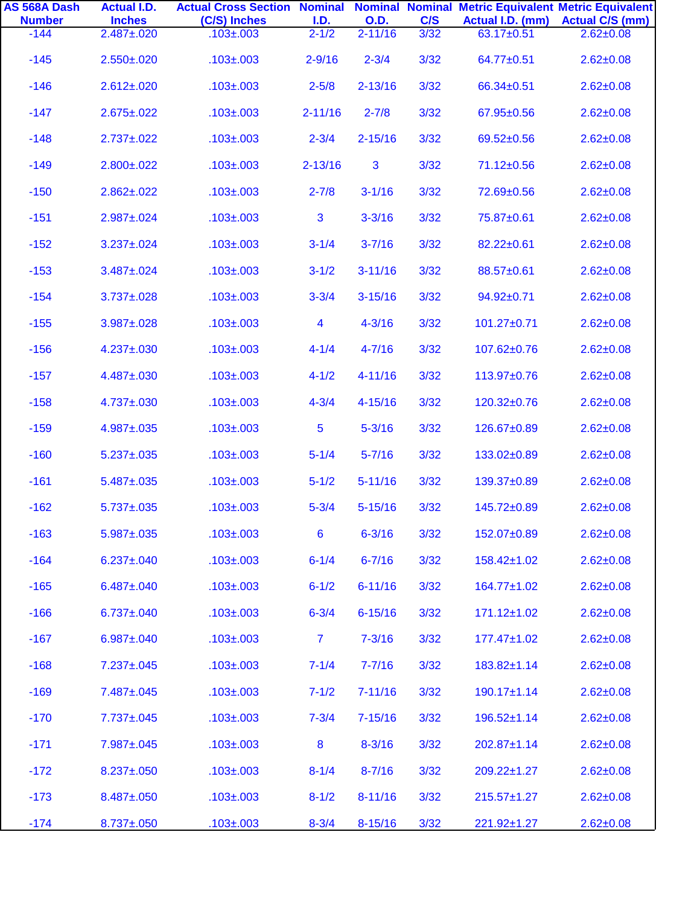| AS 568A Dash<br><b>Number</b> | <b>Actual I.D.</b><br><b>Inches</b> | <b>Actual Cross Section Nominal Nominal Nominal Metric Equivalent Metric Equivalent</b><br>(C/S) Inches |                   | <b>O.D.</b> | C/S  | Actual I.D. (mm)  | <b>Actual C/S (mm)</b> |
|-------------------------------|-------------------------------------|---------------------------------------------------------------------------------------------------------|-------------------|-------------|------|-------------------|------------------------|
| $-144$                        | $2.487 \pm 0.020$                   | $.103 \pm .003$                                                                                         | I.D.<br>$2 - 1/2$ | $2 - 11/16$ | 3/32 | 63.17±0.51        | $2.62 \pm 0.08$        |
| $-145$                        | $2.550 \pm 0.020$                   | $.103 \pm .003$                                                                                         | $2 - 9/16$        | $2 - 3/4$   | 3/32 | 64.77±0.51        | $2.62 \pm 0.08$        |
| $-146$                        | $2.612 \pm .020$                    | $.103 \pm .003$                                                                                         | $2 - 5/8$         | $2 - 13/16$ | 3/32 | 66.34±0.51        | $2.62 \pm 0.08$        |
| $-147$                        | $2.675 \pm .022$                    | $.103 \pm .003$                                                                                         | $2 - 11/16$       | $2 - 7/8$   | 3/32 | 67.95±0.56        | $2.62 \pm 0.08$        |
| $-148$                        | $2.737 \pm 0.022$                   | $.103 \pm .003$                                                                                         | $2 - 3/4$         | $2 - 15/16$ | 3/32 | 69.52±0.56        | $2.62 \pm 0.08$        |
| $-149$                        | $2.800 \pm 0.022$                   | $.103 \pm .003$                                                                                         | $2 - 13/16$       | 3           | 3/32 | 71.12±0.56        | $2.62 \pm 0.08$        |
| $-150$                        | $2.862 \pm 0.022$                   | $.103 \pm .003$                                                                                         | $2 - 7/8$         | $3 - 1/16$  | 3/32 | 72.69±0.56        | $2.62 \pm 0.08$        |
| $-151$                        | $2.987 \pm 0.024$                   | $.103 \pm .003$                                                                                         | 3                 | $3 - 3/16$  | 3/32 | 75.87±0.61        | $2.62 \pm 0.08$        |
| $-152$                        | $3.237 \pm 0.024$                   | $.103 \pm .003$                                                                                         | $3 - 1/4$         | $3 - 7/16$  | 3/32 | 82.22±0.61        | $2.62 \pm 0.08$        |
| $-153$                        | $3.487 \pm 0.024$                   | $.103 \pm .003$                                                                                         | $3 - 1/2$         | $3 - 11/16$ | 3/32 | 88.57±0.61        | $2.62 \pm 0.08$        |
| $-154$                        | $3.737 \pm 0.028$                   | $.103 \pm .003$                                                                                         | $3 - 3/4$         | $3 - 15/16$ | 3/32 | 94.92±0.71        | $2.62 \pm 0.08$        |
| $-155$                        | $3.987 \pm 0.028$                   | $.103 \pm .003$                                                                                         | $\overline{4}$    | $4 - 3/16$  | 3/32 | 101.27±0.71       | $2.62 \pm 0.08$        |
| $-156$                        | 4.237±.030                          | $.103 \pm .003$                                                                                         | $4 - 1/4$         | $4 - 7/16$  | 3/32 | 107.62±0.76       | $2.62 \pm 0.08$        |
| $-157$                        | 4.487±.030                          | $.103 \pm .003$                                                                                         | $4 - 1/2$         | $4 - 11/16$ | 3/32 | 113.97±0.76       | $2.62 \pm 0.08$        |
| $-158$                        | 4.737±.030                          | $.103 \pm .003$                                                                                         | $4 - 3/4$         | $4 - 15/16$ | 3/32 | 120.32±0.76       | $2.62 \pm 0.08$        |
| $-159$                        | $4.987 \pm 0.035$                   | $.103 \pm .003$                                                                                         | $\overline{5}$    | $5 - 3/16$  | 3/32 | 126.67±0.89       | $2.62 \pm 0.08$        |
| $-160$                        | $5.237 \pm 0.035$                   | $.103 \pm .003$                                                                                         | $5 - 1/4$         | $5 - 7/16$  | 3/32 | 133.02±0.89       | $2.62 \pm 0.08$        |
| $-161$                        | $5.487 \pm 0.035$                   | $.103 \pm .003$                                                                                         | $5 - 1/2$         | $5 - 11/16$ | 3/32 | 139.37±0.89       | $2.62 \pm 0.08$        |
| $-162$                        | $5.737 \pm 0.035$                   | $.103 \pm .003$                                                                                         | $5 - 3/4$         | $5 - 15/16$ | 3/32 | 145.72±0.89       | $2.62 \pm 0.08$        |
| $-163$                        | $5.987 \pm 0.035$                   | $.103 \pm .003$                                                                                         | $6\phantom{1}$    | $6 - 3/16$  | 3/32 | 152.07±0.89       | $2.62 \pm 0.08$        |
| $-164$                        | $6.237 \pm 0.040$                   | $.103 \pm .003$                                                                                         | $6 - 1/4$         | $6 - 7/16$  | 3/32 | 158.42±1.02       | $2.62 \pm 0.08$        |
| $-165$                        | $6.487 \pm 0.040$                   | $.103 \pm .003$                                                                                         | $6 - 1/2$         | $6 - 11/16$ | 3/32 | 164.77±1.02       | $2.62 \pm 0.08$        |
| $-166$                        | $6.737 \pm 0.040$                   | $.103 \pm .003$                                                                                         | $6 - 3/4$         | $6 - 15/16$ | 3/32 | $171.12 \pm 1.02$ | $2.62 \pm 0.08$        |
| $-167$                        | $6.987 \pm 0.040$                   | $.103 \pm .003$                                                                                         | $\overline{7}$    | $7 - 3/16$  | 3/32 | $177.47 \pm 1.02$ | $2.62 \pm 0.08$        |
| $-168$                        | $7.237 \pm 0.045$                   | $.103 \pm .003$                                                                                         | $7 - 1/4$         | $7 - 7/16$  | 3/32 | $183.82 \pm 1.14$ | $2.62 \pm 0.08$        |
| $-169$                        | 7.487±.045                          | $.103 \pm .003$                                                                                         | $7 - 1/2$         | $7 - 11/16$ | 3/32 | $190.17 \pm 1.14$ | $2.62 \pm 0.08$        |
| $-170$                        | $7.737 \pm 0.045$                   | $.103 \pm .003$                                                                                         | $7 - 3/4$         | $7 - 15/16$ | 3/32 | $196.52 \pm 1.14$ | $2.62 \pm 0.08$        |
| $-171$                        | 7.987±.045                          | $.103 \pm .003$                                                                                         | 8                 | $8 - 3/16$  | 3/32 | $202.87 \pm 1.14$ | $2.62 \pm 0.08$        |
| $-172$                        | $8.237 \pm .050$                    | $.103 \pm .003$                                                                                         | $8 - 1/4$         | $8 - 7/16$  | 3/32 | $209.22 \pm 1.27$ | $2.62 \pm 0.08$        |
| $-173$                        | 8.487±.050                          | $.103 \pm .003$                                                                                         | $8 - 1/2$         | $8 - 11/16$ | 3/32 | $215.57 \pm 1.27$ | $2.62 \pm 0.08$        |
| $-174$                        | $8.737 \pm 0.050$                   | $.103 \pm .003$                                                                                         | $8 - 3/4$         | $8 - 15/16$ | 3/32 | $221.92 \pm 1.27$ | $2.62 \pm 0.08$        |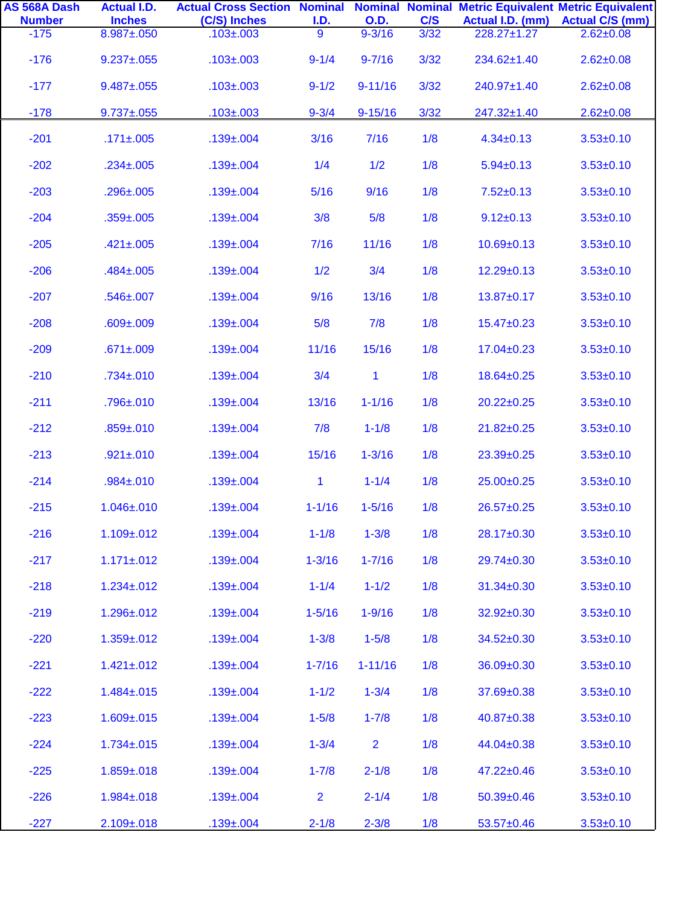| AS 568A Dash            | <b>Actual I.D.</b>          | <b>Actual Cross Section Nominal Nominal Nominal Metric Equivalent Metric Equivalent</b> |                               |                           |             |                                 |                                           |
|-------------------------|-----------------------------|-----------------------------------------------------------------------------------------|-------------------------------|---------------------------|-------------|---------------------------------|-------------------------------------------|
| <b>Number</b><br>$-175$ | <b>Inches</b><br>8.987±.050 | (C/S) Inches<br>$.103 \pm .003$                                                         | <u>I.D.</u><br>$\overline{9}$ | <b>O.D.</b><br>$9 - 3/16$ | C/S<br>3/32 | Actual I.D. (mm)<br>228.27±1.27 | <b>Actual C/S (mm)</b><br>$2.62 \pm 0.08$ |
| $-176$                  | $9.237 \pm 0.055$           | $.103 \pm .003$                                                                         | $9 - 1/4$                     | $9 - 7/16$                | 3/32        | 234.62±1.40                     | $2.62 \pm 0.08$                           |
| $-177$                  | $9.487 \pm 0.055$           | $.103 \pm .003$                                                                         | $9 - 1/2$                     | $9 - 11/16$               | 3/32        | 240.97±1.40                     | $2.62 \pm 0.08$                           |
| $-178$                  | $9.737 \pm 0.055$           | $.103 \pm .003$                                                                         | $9 - 3/4$                     | $9 - 15/16$               | 3/32        | 247.32±1.40                     | $2.62 \pm 0.08$                           |
| $-201$                  | $.171 \pm .005$             | $.139 \pm .004$                                                                         | 3/16                          | 7/16                      | 1/8         | $4.34 \pm 0.13$                 | $3.53 \pm 0.10$                           |
| $-202$                  | $.234 \pm .005$             | $.139 \pm .004$                                                                         | 1/4                           | 1/2                       | 1/8         | $5.94 \pm 0.13$                 | $3.53 + 0.10$                             |
| $-203$                  | $.296 \pm .005$             | $.139 \pm .004$                                                                         | 5/16                          | 9/16                      | 1/8         | $7.52 \pm 0.13$                 | $3.53 \pm 0.10$                           |
| $-204$                  | $.359 \pm .005$             | $.139 \pm .004$                                                                         | 3/8                           | 5/8                       | 1/8         | $9.12 \pm 0.13$                 | $3.53 \pm 0.10$                           |
| $-205$                  | $.421 \pm .005$             | $.139 \pm .004$                                                                         | 7/16                          | 11/16                     | 1/8         | $10.69 + 0.13$                  | $3.53 \pm 0.10$                           |
| $-206$                  | $.484 \pm 0.005$            | $.139 \pm .004$                                                                         | 1/2                           | 3/4                       | 1/8         | $12.29 \pm 0.13$                | $3.53 \pm 0.10$                           |
| $-207$                  | $.546 \pm 0.007$            | $.139 \pm .004$                                                                         | 9/16                          | 13/16                     | 1/8         | 13.87±0.17                      | $3.53 \pm 0.10$                           |
| $-208$                  | $.609 \pm .009$             | $.139 \pm .004$                                                                         | 5/8                           | 7/8                       | 1/8         | $15.47 \pm 0.23$                | $3.53 \pm 0.10$                           |
| $-209$                  | $.671 \pm .009$             | $.139 \pm .004$                                                                         | 11/16                         | 15/16                     | 1/8         | $17.04 \pm 0.23$                | $3.53 \pm 0.10$                           |
| $-210$                  | $.734 \pm 0.010$            | $.139 \pm .004$                                                                         | 3/4                           | 1                         | 1/8         | 18.64±0.25                      | $3.53 \pm 0.10$                           |
| $-211$                  | $.796 \pm 010$              | $.139 \pm .004$                                                                         | 13/16                         | $1 - 1/16$                | 1/8         | $20.22 \pm 0.25$                | $3.53 \pm 0.10$                           |
| $-212$                  | $.859 \pm .010$             | $.139 \pm .004$                                                                         | 7/8                           | $1 - 1/8$                 | 1/8         | $21.82 \pm 0.25$                | $3.53 \pm 0.10$                           |
| $-213$                  | $.921 \pm .010$             | $.139 \pm .004$                                                                         | 15/16                         | $1 - 3/16$                | 1/8         | 23.39±0.25                      | $3.53 \pm 0.10$                           |
| $-214$                  | $.984 \pm .010$             | $.139 \pm .004$                                                                         | $\mathbf{1}$                  | $1 - 1/4$                 | 1/8         | 25.00±0.25                      | $3.53 \pm 0.10$                           |
| $-215$                  | $1.046 \pm 0.010$           | $.139 \pm .004$                                                                         | $1 - 1/16$                    | $1 - 5/16$                | 1/8         | 26.57±0.25                      | $3.53 + 0.10$                             |
| $-216$                  | $1.109 + 0.012$             | $.139 \pm .004$                                                                         | $1 - 1/8$                     | $1 - 3/8$                 | 1/8         | 28.17±0.30                      | $3.53 \pm 0.10$                           |
| $-217$                  | $1.171 \pm 0.012$           | $.139 \pm .004$                                                                         | $1 - 3/16$                    | $1 - 7/16$                | 1/8         | 29.74±0.30                      | $3.53 \pm 0.10$                           |
| $-218$                  | $1.234 \pm 0.012$           | $.139 \pm .004$                                                                         | $1 - 1/4$                     | $1 - 1/2$                 | 1/8         | 31.34±0.30                      | $3.53 \pm 0.10$                           |
| $-219$                  | $1.296 \pm 0.012$           | $.139 \pm .004$                                                                         | $1 - 5/16$                    | $1 - 9/16$                | 1/8         | 32.92±0.30                      | $3.53 + 0.10$                             |
| $-220$                  | $1.359 + .012$              | $.139 \pm .004$                                                                         | $1 - 3/8$                     | $1 - 5/8$                 | 1/8         | 34.52±0.30                      | $3.53 + 0.10$                             |
| $-221$                  | $1.421 \pm 0.012$           | $.139 \pm .004$                                                                         | $1 - 7/16$                    | $1 - 11/16$               | 1/8         | 36.09±0.30                      | $3.53 \pm 0.10$                           |
| $-222$                  | $1.484 \pm 0.015$           | $.139 \pm .004$                                                                         | $1 - 1/2$                     | $1 - 3/4$                 | 1/8         | 37.69±0.38                      | $3.53 \pm 0.10$                           |
| $-223$                  | $1.609 \pm 0.015$           | $.139 \pm .004$                                                                         | $1 - 5/8$                     | $1 - 7/8$                 | 1/8         | 40.87±0.38                      | $3.53 \pm 0.10$                           |
| $-224$                  | $1.734 \pm 0.015$           | $.139 \pm .004$                                                                         | $1 - 3/4$                     | $\overline{2}$            | 1/8         | 44.04±0.38                      | $3.53 \pm 0.10$                           |
| $-225$                  | $1.859 \pm .018$            | $.139 \pm .004$                                                                         | $1 - 7/8$                     | $2 - 1/8$                 | 1/8         | 47.22±0.46                      | $3.53 \pm 0.10$                           |
| $-226$                  | $1.984 \pm 0.018$           | $.139 \pm .004$                                                                         | $\overline{2}$                | $2 - 1/4$                 | 1/8         | $50.39 \pm 0.46$                | $3.53 \pm 0.10$                           |
| $-227$                  | $2.109 \pm 0.018$           | $.139 + .004$                                                                           | $2 - 1/8$                     | $2 - 3/8$                 | 1/8         | $53.57+0.46$                    | $3.53 \pm 0.10$                           |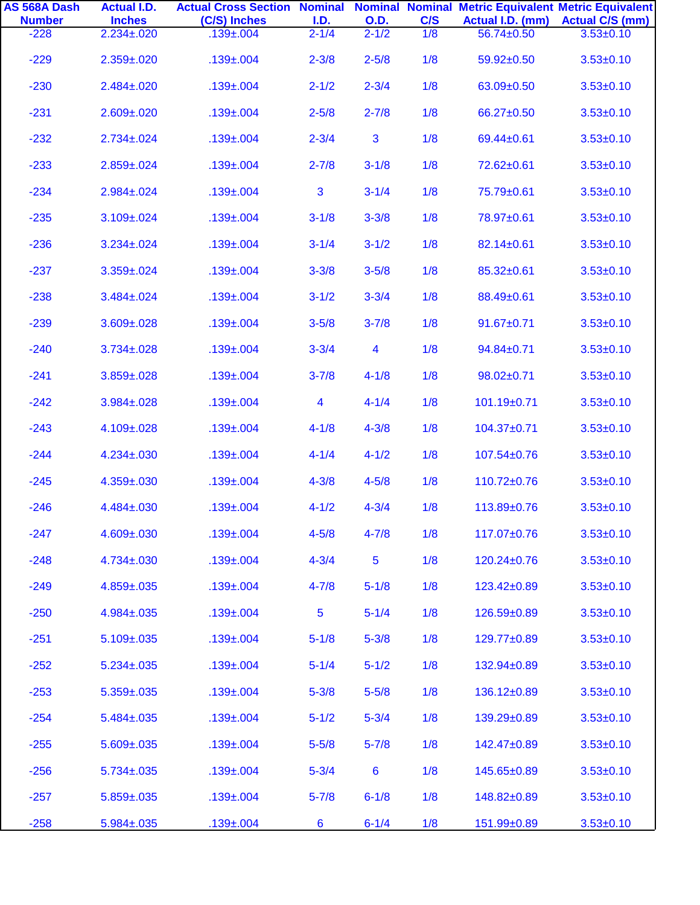| AS 568A Dash<br><b>Number</b> | <b>Actual I.D.</b><br><b>Inches</b> | <b>Actual Cross Section Nominal Nominal Nominal Metric Equivalent Metric Equivalent</b><br>(C/S) Inches | I.D.           | <b>O.D.</b>             | C/S |                  | Actual I.D. (mm) Actual C/S (mm) |
|-------------------------------|-------------------------------------|---------------------------------------------------------------------------------------------------------|----------------|-------------------------|-----|------------------|----------------------------------|
| $-228$                        | $2.234 \pm 0.020$                   | $.139 \pm .004$                                                                                         | $2 - 1/4$      | $2 - 1/2$               | 1/8 | 56.74±0.50       | $3.53 \pm 0.10$                  |
| $-229$                        | $2.359 \pm 0.020$                   | $.139 \pm .004$                                                                                         | $2 - 3/8$      | $2 - 5/8$               | 1/8 | 59.92±0.50       | $3.53 \pm 0.10$                  |
| $-230$                        | $2.484 \pm 0.020$                   | $.139 \pm .004$                                                                                         | $2 - 1/2$      | $2 - 3/4$               | 1/8 | 63.09±0.50       | $3.53 \pm 0.10$                  |
| $-231$                        | $2.609 \pm 0.020$                   | $.139 \pm .004$                                                                                         | $2 - 5/8$      | $2 - 7/8$               | 1/8 | 66.27±0.50       | $3.53 \pm 0.10$                  |
| $-232$                        | $2.734 \pm 0.024$                   | $.139 \pm .004$                                                                                         | $2 - 3/4$      | 3                       | 1/8 | 69.44±0.61       | $3.53 \pm 0.10$                  |
| $-233$                        | $2.859 \pm 0.024$                   | $.139 \pm .004$                                                                                         | $2 - 7/8$      | $3 - 1/8$               | 1/8 | 72.62±0.61       | $3.53 \pm 0.10$                  |
| $-234$                        | $2.984 \pm 0.024$                   | $.139 \pm .004$                                                                                         | 3              | $3 - 1/4$               | 1/8 | 75.79±0.61       | $3.53 \pm 0.10$                  |
| $-235$                        | $3.109 \pm 0.024$                   | $.139 \pm .004$                                                                                         | $3 - 1/8$      | $3 - 3/8$               | 1/8 | 78.97±0.61       | $3.53 \pm 0.10$                  |
| $-236$                        | $3.234 \pm 0.024$                   | $.139 \pm .004$                                                                                         | $3 - 1/4$      | $3 - 1/2$               | 1/8 | 82.14±0.61       | $3.53 \pm 0.10$                  |
| $-237$                        | $3.359 \pm 0.024$                   | $.139 \pm .004$                                                                                         | $3 - 3/8$      | $3 - 5/8$               | 1/8 | 85.32±0.61       | $3.53 \pm 0.10$                  |
| $-238$                        | $3.484 \pm 0.024$                   | $.139 \pm .004$                                                                                         | $3 - 1/2$      | $3 - 3/4$               | 1/8 | 88.49±0.61       | $3.53 \pm 0.10$                  |
| $-239$                        | $3.609 \pm 0.028$                   | $.139 \pm .004$                                                                                         | $3 - 5/8$      | $3 - 7/8$               | 1/8 | $91.67 + 0.71$   | $3.53 \pm 0.10$                  |
| $-240$                        | $3.734 \pm 0.028$                   | $.139 \pm .004$                                                                                         | $3 - 3/4$      | $\overline{\mathbf{4}}$ | 1/8 | $94.84 \pm 0.71$ | $3.53 \pm 0.10$                  |
| $-241$                        | $3.859 \pm 0.028$                   | $.139 \pm .004$                                                                                         | $3 - 7/8$      | $4 - 1/8$               | 1/8 | $98.02 \pm 0.71$ | $3.53 \pm 0.10$                  |
| $-242$                        | $3.984 \pm 0.028$                   | $.139 \pm .004$                                                                                         | 4              | $4 - 1/4$               | 1/8 | 101.19±0.71      | $3.53 \pm 0.10$                  |
| $-243$                        | 4.109±.028                          | $.139 \pm .004$                                                                                         | $4 - 1/8$      | $4 - 3/8$               | 1/8 | 104.37±0.71      | $3.53 \pm 0.10$                  |
| $-244$                        | $4.234 \pm 0.030$                   | $.139 \pm .004$                                                                                         | $4 - 1/4$      | $4 - 1/2$               | 1/8 | 107.54±0.76      | $3.53 \pm 0.10$                  |
| $-245$                        | $4.359 \pm 0.030$                   | $.139 \pm .004$                                                                                         | $4 - 3/8$      | $4 - 5/8$               | 1/8 | 110.72±0.76      | $3.53 \pm 0.10$                  |
| $-246$                        | 4.484±.030                          | $.139 \pm .004$                                                                                         | $4 - 1/2$      | $4 - 3/4$               | 1/8 | 113.89±0.76      | $3.53 \pm 0.10$                  |
| $-247$                        | 4.609±.030                          | $.139 \pm .004$                                                                                         | $4 - 5/8$      | $4 - 7/8$               | 1/8 | 117.07±0.76      | $3.53 \pm 0.10$                  |
| $-248$                        | 4.734±.030                          | $.139 \pm .004$                                                                                         | $4 - 3/4$      | 5                       | 1/8 | 120.24±0.76      | $3.53 \pm 0.10$                  |
| $-249$                        | $4.859 \pm .035$                    | $.139 \pm .004$                                                                                         | $4 - 7/8$      | $5 - 1/8$               | 1/8 | 123.42±0.89      | $3.53 + 0.10$                    |
| $-250$                        | $4.984 \pm 0.035$                   | $.139 \pm .004$                                                                                         | $\overline{5}$ | $5 - 1/4$               | 1/8 | 126.59±0.89      | $3.53 \pm 0.10$                  |
| $-251$                        | $5.109 \pm 0.035$                   | $.139 \pm .004$                                                                                         | $5 - 1/8$      | $5 - 3/8$               | 1/8 | 129.77±0.89      | $3.53 \pm 0.10$                  |
| $-252$                        | $5.234 \pm 0.035$                   | $.139 \pm .004$                                                                                         | $5 - 1/4$      | $5 - 1/2$               | 1/8 | 132.94±0.89      | $3.53 \pm 0.10$                  |
| $-253$                        | $5.359 \pm 0.035$                   | $.139 \pm .004$                                                                                         | $5 - 3/8$      | $5 - 5/8$               | 1/8 | 136.12±0.89      | $3.53 \pm 0.10$                  |
| $-254$                        | $5.484 \pm 0.035$                   | $.139 \pm .004$                                                                                         | $5 - 1/2$      | $5 - 3/4$               | 1/8 | 139.29±0.89      | $3.53 \pm 0.10$                  |
| $-255$                        | $5.609 \pm 0.035$                   | $.139 \pm .004$                                                                                         | $5 - 5/8$      | $5 - 7/8$               | 1/8 | 142.47±0.89      | $3.53 \pm 0.10$                  |
| $-256$                        | $5.734 \pm 0.035$                   | $.139 \pm .004$                                                                                         | $5 - 3/4$      | $6\phantom{1}6$         | 1/8 | 145.65±0.89      | $3.53 \pm 0.10$                  |
| $-257$                        | $5.859 \pm 0.035$                   | $.139 \pm .004$                                                                                         | $5 - 7/8$      | $6 - 1/8$               | 1/8 | 148.82±0.89      | $3.53 \pm 0.10$                  |
| $-258$                        | $5.984 \pm 0.035$                   | $.139 \pm .004$                                                                                         | 6              | $6 - 1/4$               | 1/8 | 151.99±0.89      | $3.53 \pm 0.10$                  |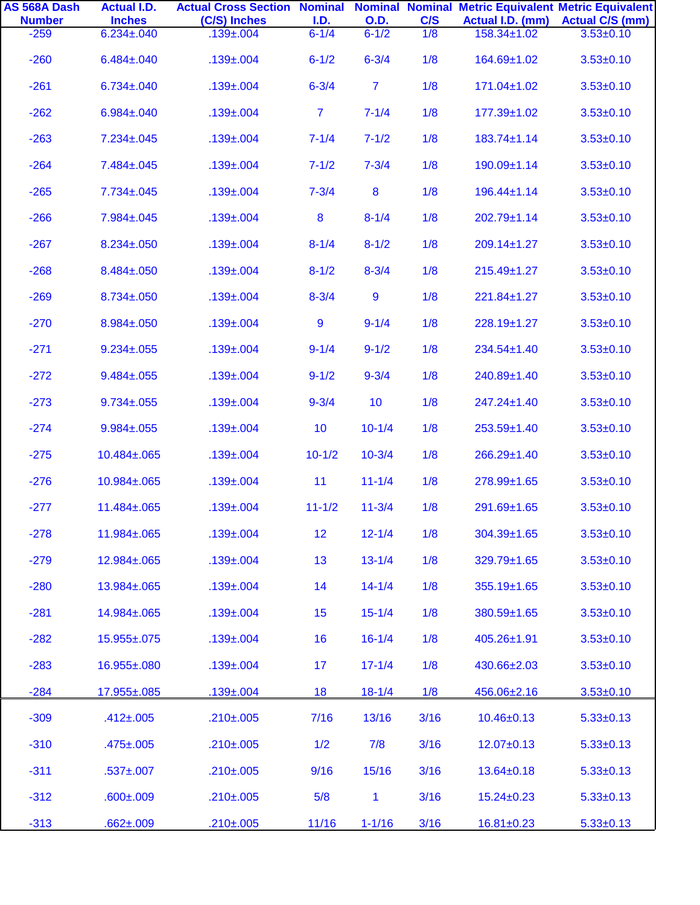| AS 568A Dash<br><b>Number</b> | <b>Actual I.D.</b><br><b>Inches</b> | <b>Actual Cross Section Nominal Nominal Nominal Metric Equivalent Metric Equivalent</b><br>(C/S) Inches | I.D.           | <b>O.D.</b>      | C/S  |                   | Actual I.D. (mm) Actual C/S (mm) |
|-------------------------------|-------------------------------------|---------------------------------------------------------------------------------------------------------|----------------|------------------|------|-------------------|----------------------------------|
| $-259$                        | $6.234 \pm 0.040$                   | $.139 \pm .004$                                                                                         | $6 - 1/4$      | $6 - 1/2$        | 1/8  | 158.34±1.02       | $3.53 \pm 0.10$                  |
| $-260$                        | $6.484 \pm 0.040$                   | $.139 \pm .004$                                                                                         | $6 - 1/2$      | $6 - 3/4$        | 1/8  | 164.69±1.02       | $3.53 \pm 0.10$                  |
| $-261$                        | $6.734 \pm 0.040$                   | $.139 \pm .004$                                                                                         | $6 - 3/4$      | $\overline{7}$   | 1/8  | 171.04±1.02       | $3.53 \pm 0.10$                  |
| $-262$                        | $6.984 \pm 0.040$                   | $.139 \pm .004$                                                                                         | $\overline{7}$ | $7 - 1/4$        | 1/8  | 177.39±1.02       | $3.53 \pm 0.10$                  |
| $-263$                        | $7.234 \pm 0.045$                   | $.139 \pm .004$                                                                                         | $7 - 1/4$      | $7 - 1/2$        | 1/8  | $183.74 \pm 1.14$ | $3.53 \pm 0.10$                  |
| $-264$                        | 7.484±.045                          | $.139 \pm .004$                                                                                         | $7 - 1/2$      | $7 - 3/4$        | 1/8  | 190.09±1.14       | $3.53 \pm 0.10$                  |
| $-265$                        | $7.734 \pm 0.045$                   | $.139 \pm .004$                                                                                         | $7 - 3/4$      | $\boldsymbol{8}$ | 1/8  | $196.44 \pm 1.14$ | $3.53 \pm 0.10$                  |
| $-266$                        | 7.984±.045                          | $.139 \pm .004$                                                                                         | 8              | $8 - 1/4$        | 1/8  | 202.79±1.14       | $3.53 \pm 0.10$                  |
| $-267$                        | $8.234 \pm 0.050$                   | $.139 \pm .004$                                                                                         | $8 - 1/4$      | $8 - 1/2$        | 1/8  | $209.14 \pm 1.27$ | $3.53 \pm 0.10$                  |
| $-268$                        | 8.484±.050                          | $.139 \pm .004$                                                                                         | $8 - 1/2$      | $8 - 3/4$        | 1/8  | 215.49±1.27       | $3.53 + 0.10$                    |
| $-269$                        | $8.734 \pm 0.050$                   | $.139 \pm .004$                                                                                         | $8 - 3/4$      | 9                | 1/8  | 221.84±1.27       | $3.53 \pm 0.10$                  |
| $-270$                        | 8.984±.050                          | $.139 \pm .004$                                                                                         | 9              | $9 - 1/4$        | 1/8  | 228.19±1.27       | $3.53 \pm 0.10$                  |
| $-271$                        | $9.234 \pm 0.055$                   | $.139 \pm .004$                                                                                         | $9 - 1/4$      | $9 - 1/2$        | 1/8  | 234.54±1.40       | $3.53 \pm 0.10$                  |
| $-272$                        | $9.484 \pm 0.055$                   | $.139 \pm .004$                                                                                         | $9 - 1/2$      | $9 - 3/4$        | 1/8  | 240.89±1.40       | $3.53 \pm 0.10$                  |
| $-273$                        | $9.734 \pm 0.055$                   | $.139 \pm .004$                                                                                         | $9 - 3/4$      | 10               | 1/8  | 247.24±1.40       | $3.53 \pm 0.10$                  |
| $-274$                        | $9.984 \pm 0.055$                   | $.139 \pm .004$                                                                                         | 10             | $10 - 1/4$       | 1/8  | 253.59±1.40       | $3.53 \pm 0.10$                  |
| $-275$                        | 10.484±.065                         | $.139 \pm .004$                                                                                         | $10 - 1/2$     | $10 - 3/4$       | 1/8  | 266.29±1.40       | $3.53 \pm 0.10$                  |
| $-276$                        | 10.984±.065                         | $.139 \pm .004$                                                                                         | 11             | $11 - 1/4$       | 1/8  | 278.99±1.65       | $3.53 \pm 0.10$                  |
| $-277$                        | 11.484±.065                         | $.139 \pm .004$                                                                                         | $11 - 1/2$     | $11 - 3/4$       | 1/8  | 291.69±1.65       | $3.53 \pm 0.10$                  |
| $-278$                        | 11.984±.065                         | $.139 \pm .004$                                                                                         | 12             | $12 - 1/4$       | 1/8  | 304.39±1.65       | $3.53 \pm 0.10$                  |
| $-279$                        | 12.984±.065                         | $.139 \pm .004$                                                                                         | 13             | $13 - 1/4$       | 1/8  | 329.79±1.65       | $3.53 \pm 0.10$                  |
| $-280$                        | 13.984±.065                         | $.139 \pm .004$                                                                                         | 14             | $14 - 1/4$       | 1/8  | $355.19 \pm 1.65$ | $3.53 \pm 0.10$                  |
| $-281$                        | 14.984±.065                         | $.139 \pm .004$                                                                                         | 15             | $15 - 1/4$       | 1/8  | 380.59±1.65       | $3.53 \pm 0.10$                  |
| $-282$                        | 15.955±.075                         | $.139 \pm .004$                                                                                         | 16             | $16 - 1/4$       | 1/8  | 405.26±1.91       | $3.53 \pm 0.10$                  |
| $-283$                        | 16.955±.080                         | $.139 \pm .004$                                                                                         | 17             | $17 - 1/4$       | 1/8  | 430.66±2.03       | $3.53 \pm 0.10$                  |
| $-284$                        | 17.955±.085                         | $.139 \pm .004$                                                                                         | 18             | $18 - 1/4$       | 1/8  | 456.06±2.16       | $3.53 \pm 0.10$                  |
| $-309$                        | $.412 \pm .005$                     | $.210 \pm .005$                                                                                         | 7/16           | 13/16            | 3/16 | $10.46 \pm 0.13$  | $5.33 \pm 0.13$                  |
| $-310$                        | $.475 \pm .005$                     | $.210 \pm .005$                                                                                         | 1/2            | 7/8              | 3/16 | $12.07 + 0.13$    | $5.33 \pm 0.13$                  |
| $-311$                        | $.537 \pm .007$                     | $.210 \pm .005$                                                                                         | 9/16           | 15/16            | 3/16 | $13.64 \pm 0.18$  | $5.33 \pm 0.13$                  |
| $-312$                        | $.600 \pm .009$                     | $.210 \pm .005$                                                                                         | 5/8            | 1                | 3/16 | $15.24 \pm 0.23$  | $5.33 \pm 0.13$                  |
| $-313$                        | $.662 \pm .009$                     | $.210 \pm .005$                                                                                         | 11/16          | $1 - 1/16$       | 3/16 | $16.81 \pm 0.23$  | $5.33 \pm 0.13$                  |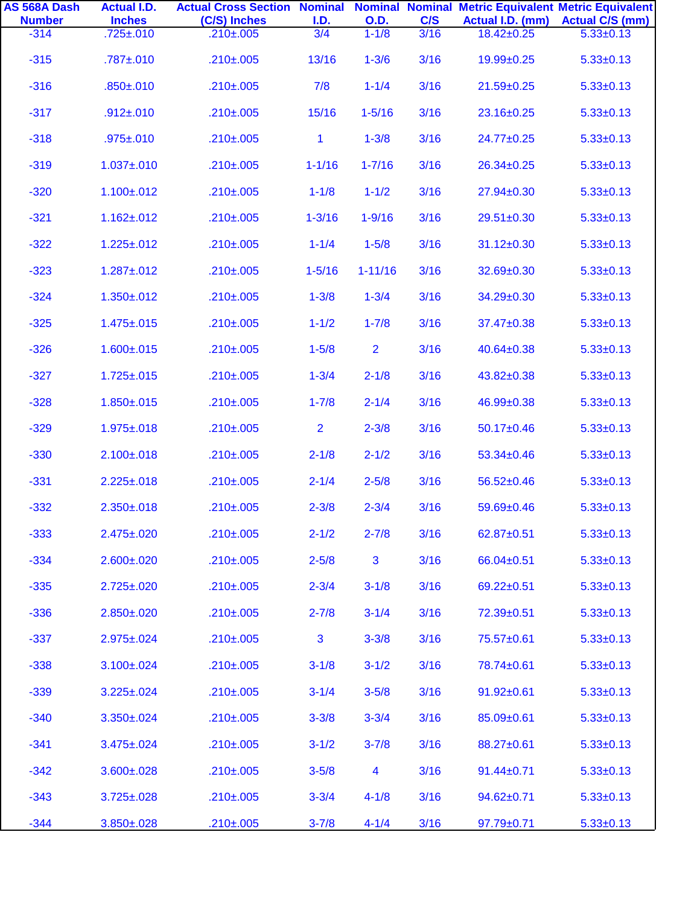| AS 568A Dash<br><b>Number</b> | <b>Actual I.D.</b><br><b>Inches</b> | <b>Actual Cross Section Nominal Nominal Nominal Metric Equivalent Metric Equivalent</b><br>(C/S) Inches | I.D.           | <b>O.D.</b>             | C/S  | Actual I.D. (mm) | <b>Actual C/S (mm)</b> |
|-------------------------------|-------------------------------------|---------------------------------------------------------------------------------------------------------|----------------|-------------------------|------|------------------|------------------------|
| $-314$                        | $.725 \pm .010$                     | $.210 \pm .005$                                                                                         | 3/4            | $1 - 1/8$               | 3/16 | $18.42 \pm 0.25$ | $5.33 \pm 0.13$        |
| $-315$                        | $.787 + .010$                       | $.210 \pm .005$                                                                                         | 13/16          | $1 - 3/6$               | 3/16 | 19.99±0.25       | $5.33 \pm 0.13$        |
| $-316$                        | $.850 \pm .010$                     | $.210 \pm .005$                                                                                         | 7/8            | $1 - 1/4$               | 3/16 | $21.59 + 0.25$   | $5.33 \pm 0.13$        |
| $-317$                        | $.912 \pm .010$                     | $.210 \pm .005$                                                                                         | 15/16          | $1 - 5/16$              | 3/16 | 23.16±0.25       | $5.33 \pm 0.13$        |
| $-318$                        | $.975 \pm .010$                     | $.210 \pm .005$                                                                                         | $\mathbf{1}$   | $1 - 3/8$               | 3/16 | 24.77±0.25       | $5.33 \pm 0.13$        |
| $-319$                        | $1.037 + 0.010$                     | $.210 \pm .005$                                                                                         | $1 - 1/16$     | $1 - 7/16$              | 3/16 | 26.34±0.25       | $5.33 \pm 0.13$        |
| $-320$                        | $1.100 \pm 0.012$                   | $.210 \pm .005$                                                                                         | $1 - 1/8$      | $1 - 1/2$               | 3/16 | 27.94±0.30       | $5.33 \pm 0.13$        |
| $-321$                        | $1.162 \pm 0.012$                   | $.210 \pm .005$                                                                                         | $1 - 3/16$     | $1 - 9/16$              | 3/16 | 29.51±0.30       | $5.33 \pm 0.13$        |
| $-322$                        | $1.225 \pm .012$                    | $.210 \pm .005$                                                                                         | $1 - 1/4$      | $1 - 5/8$               | 3/16 | $31.12 \pm 0.30$ | $5.33 \pm 0.13$        |
| $-323$                        | $1.287 + 0.012$                     | $.210 \pm .005$                                                                                         | $1 - 5/16$     | $1 - 11/16$             | 3/16 | 32.69±0.30       | $5.33 \pm 0.13$        |
| $-324$                        | $1.350 \pm 0.012$                   | $.210 \pm .005$                                                                                         | $1 - 3/8$      | $1 - 3/4$               | 3/16 | 34.29±0.30       | $5.33 \pm 0.13$        |
| $-325$                        | $1.475 \pm 0.015$                   | $.210 \pm .005$                                                                                         | $1 - 1/2$      | $1 - 7/8$               | 3/16 | 37.47±0.38       | $5.33 \pm 0.13$        |
| $-326$                        | $1.600 \pm 0.015$                   | $.210 \pm .005$                                                                                         | $1 - 5/8$      | $\overline{2}$          | 3/16 | 40.64±0.38       | $5.33 \pm 0.13$        |
| $-327$                        | $1.725 \pm 0.015$                   | $.210 \pm .005$                                                                                         | $1 - 3/4$      | $2 - 1/8$               | 3/16 | 43.82±0.38       | $5.33 \pm 0.13$        |
| $-328$                        | $1.850 \pm 0.015$                   | $.210 \pm .005$                                                                                         | $1 - 7/8$      | $2 - 1/4$               | 3/16 | 46.99±0.38       | $5.33 \pm 0.13$        |
| $-329$                        | $1.975 \pm 0.018$                   | $.210 \pm .005$                                                                                         | $\overline{2}$ | $2 - 3/8$               | 3/16 | 50.17±0.46       | $5.33 \pm 0.13$        |
| $-330$                        | $2.100 \pm 0.018$                   | $.210 \pm .005$                                                                                         | $2 - 1/8$      | $2 - 1/2$               | 3/16 | $53.34 \pm 0.46$ | $5.33 \pm 0.13$        |
| $-331$                        | $2.225 \pm .018$                    | $.210 \pm .005$                                                                                         | $2 - 1/4$      | $2 - 5/8$               | 3/16 | 56.52±0.46       | $5.33 \pm 0.13$        |
| $-332$                        | $2.350 \pm 0.018$                   | $.210 \pm .005$                                                                                         | $2 - 3/8$      | $2 - 3/4$               | 3/16 | 59.69±0.46       | $5.33 \pm 0.13$        |
| $-333$                        | $2.475 \pm 0.020$                   | $.210 \pm .005$                                                                                         | $2 - 1/2$      | $2 - 7/8$               | 3/16 | 62.87±0.51       | $5.33 \pm 0.13$        |
| $-334$                        | $2.600 \pm 0.020$                   | $.210 \pm .005$                                                                                         | $2 - 5/8$      | 3                       | 3/16 | 66.04±0.51       | $5.33 \pm 0.13$        |
| $-335$                        | $2.725 \pm 0.020$                   | $.210 \pm .005$                                                                                         | $2 - 3/4$      | $3 - 1/8$               | 3/16 | 69.22±0.51       | $5.33 \pm 0.13$        |
| $-336$                        | $2.850 \pm 0.020$                   | $.210 \pm .005$                                                                                         | $2 - 7/8$      | $3 - 1/4$               | 3/16 | 72.39±0.51       | $5.33 \pm 0.13$        |
| $-337$                        | $2.975 \pm 0.024$                   | $.210 \pm .005$                                                                                         | 3              | $3 - 3/8$               | 3/16 | 75.57±0.61       | $5.33 \pm 0.13$        |
| $-338$                        | $3.100 \pm 0.024$                   | $.210 \pm .005$                                                                                         | $3 - 1/8$      | $3 - 1/2$               | 3/16 | 78.74±0.61       | $5.33 \pm 0.13$        |
| $-339$                        | $3.225 \pm .024$                    | $.210 \pm .005$                                                                                         | $3 - 1/4$      | $3 - 5/8$               | 3/16 | 91.92±0.61       | $5.33 \pm 0.13$        |
| $-340$                        | $3.350 \pm 0.024$                   | $.210 \pm .005$                                                                                         | $3 - 3/8$      | $3 - 3/4$               | 3/16 | 85.09±0.61       | $5.33 \pm 0.13$        |
| $-341$                        | $3.475 \pm 0.024$                   | $.210 \pm .005$                                                                                         | $3 - 1/2$      | $3 - 7/8$               | 3/16 | 88.27±0.61       | $5.33 \pm 0.13$        |
| $-342$                        | $3.600 \pm 0.028$                   | $.210 \pm .005$                                                                                         | $3 - 5/8$      | $\overline{\mathbf{4}}$ | 3/16 | $91.44 \pm 0.71$ | $5.33 \pm 0.13$        |
| $-343$                        | $3.725 \pm 0.028$                   | $.210 \pm .005$                                                                                         | $3 - 3/4$      | $4 - 1/8$               | 3/16 | 94.62±0.71       | $5.33 \pm 0.13$        |
| $-344$                        | $3.850 \pm .028$                    | $.210 + .005$                                                                                           | $3 - 7/8$      | $4 - 1/4$               | 3/16 | $97.79 \pm 0.71$ | $5.33 \pm 0.13$        |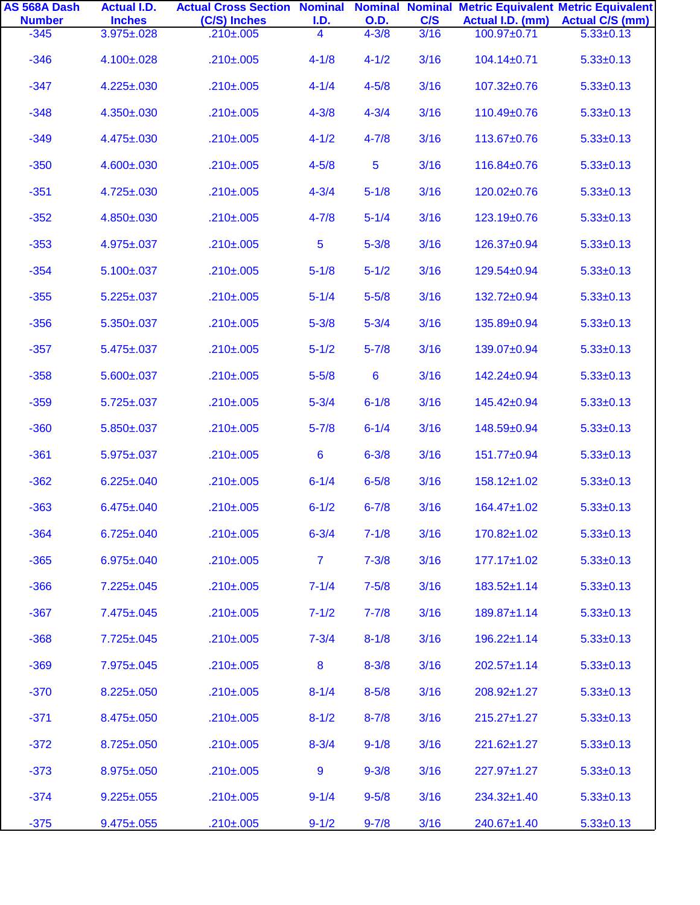| AS 568A Dash<br><b>Number</b> | <b>Actual I.D.</b><br><b>Inches</b> | <b>Actual Cross Section Nominal Nominal Nominal Metric Equivalent Metric Equivalent</b><br>(C/S) Inches | I.D.                    | <b>O.D.</b>     | C/S  | Actual I.D. (mm)  | <b>Actual C/S (mm)</b> |
|-------------------------------|-------------------------------------|---------------------------------------------------------------------------------------------------------|-------------------------|-----------------|------|-------------------|------------------------|
| $-345$                        | $3.975 \pm 0.028$                   | $.210 \pm .005$                                                                                         | $\overline{\mathbf{4}}$ | $4 - 3/8$       | 3/16 | 100.97±0.71       | $5.33 \pm 0.13$        |
| $-346$                        | 4.100±.028                          | $.210 \pm .005$                                                                                         | $4 - 1/8$               | $4 - 1/2$       | 3/16 | 104.14±0.71       | $5.33 \pm 0.13$        |
| $-347$                        | $4.225 \pm .030$                    | $.210 \pm .005$                                                                                         | $4 - 1/4$               | $4 - 5/8$       | 3/16 | $107.32 \pm 0.76$ | $5.33 \pm 0.13$        |
| $-348$                        | 4.350±.030                          | $.210 \pm .005$                                                                                         | $4 - 3/8$               | $4 - 3/4$       | 3/16 | 110.49±0.76       | $5.33 \pm 0.13$        |
| $-349$                        | 4.475±.030                          | $.210 \pm .005$                                                                                         | $4 - 1/2$               | $4 - 7/8$       | 3/16 | 113.67±0.76       | $5.33 \pm 0.13$        |
| $-350$                        | 4.600±.030                          | $.210 \pm .005$                                                                                         | $4 - 5/8$               | $\overline{5}$  | 3/16 | 116.84±0.76       | $5.33 \pm 0.13$        |
| $-351$                        | 4.725±.030                          | $.210 \pm .005$                                                                                         | $4 - 3/4$               | $5 - 1/8$       | 3/16 | 120.02±0.76       | $5.33 \pm 0.13$        |
| $-352$                        | 4.850±.030                          | $.210 \pm .005$                                                                                         | $4 - 7/8$               | $5 - 1/4$       | 3/16 | 123.19±0.76       | $5.33 \pm 0.13$        |
| $-353$                        | 4.975±.037                          | $.210 \pm .005$                                                                                         | 5                       | $5 - 3/8$       | 3/16 | 126.37±0.94       | $5.33 \pm 0.13$        |
| $-354$                        | $5.100 \pm 0.037$                   | $.210 \pm .005$                                                                                         | $5 - 1/8$               | $5 - 1/2$       | 3/16 | 129.54±0.94       | $5.33 \pm 0.13$        |
| $-355$                        | $5.225 \pm .037$                    | $.210 \pm .005$                                                                                         | $5 - 1/4$               | $5 - 5/8$       | 3/16 | 132.72±0.94       | $5.33 \pm 0.13$        |
| $-356$                        | $5.350 \pm .037$                    | $.210 \pm .005$                                                                                         | $5 - 3/8$               | $5 - 3/4$       | 3/16 | 135.89±0.94       | $5.33 \pm 0.13$        |
| $-357$                        | $5.475 \pm 0.037$                   | $.210 \pm .005$                                                                                         | $5 - 1/2$               | $5 - 7/8$       | 3/16 | 139.07±0.94       | $5.33 \pm 0.13$        |
| $-358$                        | $5.600 \pm 0.037$                   | $.210 \pm .005$                                                                                         | $5 - 5/8$               | $6\phantom{1}6$ | 3/16 | 142.24±0.94       | $5.33 \pm 0.13$        |
| $-359$                        | $5.725 \pm 0.037$                   | $.210 \pm .005$                                                                                         | $5 - 3/4$               | $6 - 1/8$       | 3/16 | 145.42±0.94       | $5.33 \pm 0.13$        |
| $-360$                        | $5.850 \pm .037$                    | $.210 \pm .005$                                                                                         | $5 - 7/8$               | $6 - 1/4$       | 3/16 | 148.59±0.94       | $5.33 \pm 0.13$        |
| $-361$                        | $5.975 \pm 0.037$                   | $.210 \pm .005$                                                                                         | $6\phantom{1}$          | $6 - 3/8$       | 3/16 | 151.77±0.94       | $5.33 \pm 0.13$        |
| $-362$                        | $6.225 \pm .040$                    | $.210 \pm .005$                                                                                         | $6 - 1/4$               | $6 - 5/8$       | 3/16 | $158.12 \pm 1.02$ | $5.33 \pm 0.13$        |
| $-363$                        | $6.475 \pm 0.040$                   | $.210 \pm .005$                                                                                         | $6 - 1/2$               | $6 - 7/8$       | 3/16 | 164.47±1.02       | $5.33 \pm 0.13$        |
| $-364$                        | $6.725 \pm 0.040$                   | $.210 \pm .005$                                                                                         | $6 - 3/4$               | $7 - 1/8$       | 3/16 | 170.82±1.02       | $5.33 \pm 0.13$        |
| $-365$                        | $6.975 \pm 0.040$                   | $.210 \pm .005$                                                                                         | $\overline{7}$          | $7 - 3/8$       | 3/16 | $177.17 \pm 1.02$ | $5.33 \pm 0.13$        |
| $-366$                        | $7.225 \pm .045$                    | $.210 \pm .005$                                                                                         | $7 - 1/4$               | $7 - 5/8$       | 3/16 | $183.52 \pm 1.14$ | $5.33 \pm 0.13$        |
| $-367$                        | 7.475±.045                          | $.210 \pm .005$                                                                                         | $7 - 1/2$               | $7 - 7/8$       | 3/16 | 189.87±1.14       | $5.33 \pm 0.13$        |
| $-368$                        | $7.725 \pm 0.045$                   | $.210 \pm .005$                                                                                         | $7 - 3/4$               | $8 - 1/8$       | 3/16 | $196.22 \pm 1.14$ | $5.33 \pm 0.13$        |
| $-369$                        | 7.975±.045                          | $.210 \pm .005$                                                                                         | 8                       | $8 - 3/8$       | 3/16 | $202.57 \pm 1.14$ | $5.33 \pm 0.13$        |
| $-370$                        | $8.225 \pm .050$                    | $.210 \pm .005$                                                                                         | $8 - 1/4$               | $8 - 5/8$       | 3/16 | 208.92±1.27       | $5.33 \pm 0.13$        |
| $-371$                        | 8.475±.050                          | $.210 \pm .005$                                                                                         | $8 - 1/2$               | $8 - 7/8$       | 3/16 | $215.27 \pm 1.27$ | $5.33 \pm 0.13$        |
| $-372$                        | $8.725 \pm .050$                    | $.210 \pm .005$                                                                                         | $8 - 3/4$               | $9 - 1/8$       | 3/16 | 221.62±1.27       | $5.33 \pm 0.13$        |
| $-373$                        | $8.975 \pm .050$                    | $.210 \pm .005$                                                                                         | 9                       | $9 - 3/8$       | 3/16 | 227.97±1.27       | $5.33 \pm 0.13$        |
| $-374$                        | $9.225 \pm .055$                    | $.210 \pm .005$                                                                                         | $9 - 1/4$               | $9 - 5/8$       | 3/16 | 234.32±1.40       | $5.33 \pm 0.13$        |
| $-375$                        | $9.475 \pm 0.055$                   | $.210 \pm .005$                                                                                         | $9 - 1/2$               | $9 - 7/8$       | 3/16 | 240.67±1.40       | $5.33 \pm 0.13$        |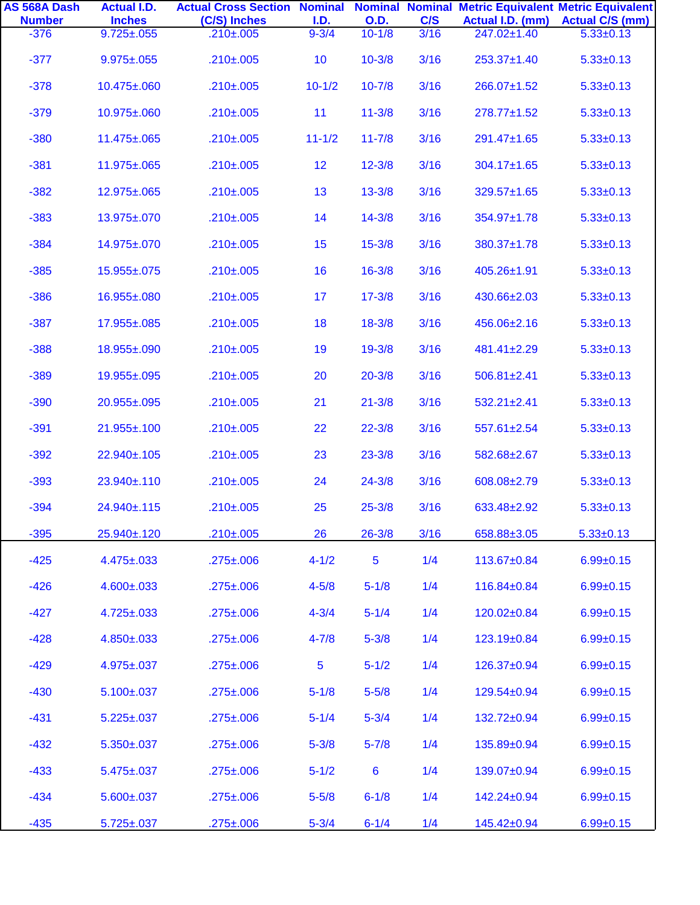| AS 568A Dash<br><b>Number</b> | <b>Actual I.D.</b><br><b>Inches</b> | <b>Actual Cross Section Nominal Nominal Nominal Metric Equivalent Metric Equivalent</b><br>(C/S) Inches | I.D.       | <b>O.D.</b> | C/S  | Actual I.D. (mm)  | <b>Actual C/S (mm)</b> |
|-------------------------------|-------------------------------------|---------------------------------------------------------------------------------------------------------|------------|-------------|------|-------------------|------------------------|
| $-376$                        | $9.725 \pm 0.055$                   | $.210 \pm .005$                                                                                         | $9 - 3/4$  | $10 - 1/8$  | 3/16 | 247.02±1.40       | $5.33 \pm 0.13$        |
| $-377$                        | $9.975 \pm 0.055$                   | $.210 \pm .005$                                                                                         | 10         | $10 - 3/8$  | 3/16 | 253.37±1.40       | $5.33 \pm 0.13$        |
| $-378$                        | 10.475±.060                         | $.210 \pm .005$                                                                                         | $10 - 1/2$ | $10 - 7/8$  | 3/16 | 266.07±1.52       | $5.33 \pm 0.13$        |
| $-379$                        | 10.975±.060                         | $.210 \pm .005$                                                                                         | 11         | $11 - 3/8$  | 3/16 | $278.77 \pm 1.52$ | $5.33 \pm 0.13$        |
| $-380$                        | 11.475±.065                         | $.210 \pm .005$                                                                                         | $11 - 1/2$ | $11 - 7/8$  | 3/16 | 291.47±1.65       | $5.33 \pm 0.13$        |
| $-381$                        | 11.975±.065                         | $.210 \pm .005$                                                                                         | 12         | $12 - 3/8$  | 3/16 | $304.17 \pm 1.65$ | $5.33 \pm 0.13$        |
| $-382$                        | 12.975±.065                         | $.210 \pm .005$                                                                                         | 13         | $13 - 3/8$  | 3/16 | 329.57±1.65       | $5.33 \pm 0.13$        |
| $-383$                        | 13.975±.070                         | $.210 \pm .005$                                                                                         | 14         | $14 - 3/8$  | 3/16 | 354.97±1.78       | $5.33 \pm 0.13$        |
| $-384$                        | 14.975±.070                         | $.210 \pm .005$                                                                                         | 15         | $15 - 3/8$  | 3/16 | 380.37±1.78       | $5.33 \pm 0.13$        |
| $-385$                        | 15.955±.075                         | $.210 \pm .005$                                                                                         | 16         | $16 - 3/8$  | 3/16 | 405.26±1.91       | $5.33 \pm 0.13$        |
| $-386$                        | 16.955±.080                         | $.210 \pm .005$                                                                                         | 17         | $17 - 3/8$  | 3/16 | 430.66±2.03       | $5.33 \pm 0.13$        |
| $-387$                        | $17.955 \pm 0.085$                  | $.210 \pm .005$                                                                                         | 18         | $18 - 3/8$  | 3/16 | 456.06±2.16       | $5.33 \pm 0.13$        |
| $-388$                        | 18.955±.090                         | $.210 \pm .005$                                                                                         | 19         | $19 - 3/8$  | 3/16 | 481.41±2.29       | $5.33 \pm 0.13$        |
| $-389$                        | 19.955±.095                         | $.210 \pm .005$                                                                                         | 20         | $20 - 3/8$  | 3/16 | $506.81 \pm 2.41$ | $5.33 \pm 0.13$        |
| $-390$                        | 20.955±.095                         | $.210 \pm .005$                                                                                         | 21         | $21 - 3/8$  | 3/16 | $532.21 \pm 2.41$ | $5.33 \pm 0.13$        |
| $-391$                        | 21.955±.100                         | $.210 \pm .005$                                                                                         | 22         | $22 - 3/8$  | 3/16 | 557.61±2.54       | $5.33 \pm 0.13$        |
| $-392$                        | 22.940±.105                         | $.210 \pm .005$                                                                                         | 23         | $23 - 3/8$  | 3/16 | 582.68±2.67       | $5.33 \pm 0.13$        |
| $-393$                        | 23.940±.110                         | $.210 \pm .005$                                                                                         | 24         | $24 - 3/8$  | 3/16 | 608.08±2.79       | $5.33 \pm 0.13$        |
| $-394$                        | 24.940±.115                         | $.210 \pm .005$                                                                                         | 25         | $25 - 3/8$  | 3/16 | 633.48±2.92       | $5.33 \pm 0.13$        |
| $-395$                        | 25.940±.120                         | $.210 \pm .005$                                                                                         | 26         | $26 - 3/8$  | 3/16 | 658.88±3.05       | $5.33 \pm 0.13$        |
| $-425$                        | $4.475 \pm .033$                    | $.275 \pm .006$                                                                                         | $4 - 1/2$  | 5           | 1/4  | 113.67±0.84       | $6.99 + 0.15$          |
| $-426$                        | $4.600 \pm .033$                    | $.275 \pm .006$                                                                                         | $4 - 5/8$  | $5 - 1/8$   | 1/4  | 116.84±0.84       | $6.99 + 0.15$          |
| $-427$                        | $4.725 \pm .033$                    | $.275 \pm .006$                                                                                         | $4 - 3/4$  | $5 - 1/4$   | 1/4  | 120.02±0.84       | $6.99 \pm 0.15$        |
| $-428$                        | $4.850 \pm .033$                    | $.275 \pm .006$                                                                                         | $4 - 7/8$  | $5 - 3/8$   | 1/4  | 123.19±0.84       | $6.99 + 0.15$          |
| $-429$                        | $4.975 \pm .037$                    | $.275 \pm .006$                                                                                         | 5          | $5 - 1/2$   | 1/4  | 126.37±0.94       | $6.99 + 0.15$          |
| $-430$                        | $5.100 \pm 0.037$                   | $.275 \pm .006$                                                                                         | $5 - 1/8$  | $5 - 5/8$   | 1/4  | 129.54±0.94       | $6.99 + 0.15$          |
| $-431$                        | $5.225 \pm .037$                    | $.275 \pm .006$                                                                                         | $5 - 1/4$  | $5 - 3/4$   | 1/4  | 132.72±0.94       | $6.99 + 0.15$          |
| $-432$                        | $5.350 \pm .037$                    | $.275 \pm .006$                                                                                         | $5 - 3/8$  | $5 - 7/8$   | 1/4  | 135.89±0.94       | $6.99 + 0.15$          |
| $-433$                        | $5.475 \pm 0.037$                   | $.275 \pm .006$                                                                                         | $5 - 1/2$  | 6           | 1/4  | 139.07±0.94       | $6.99 \pm 0.15$        |
| $-434$                        | $5.600 \pm 0.037$                   | $.275 \pm .006$                                                                                         | $5 - 5/8$  | $6 - 1/8$   | 1/4  | 142.24±0.94       | $6.99 \pm 0.15$        |
| $-435$                        | $5.725 \pm 0.037$                   | .275±.006                                                                                               | $5 - 3/4$  | $6 - 1/4$   | 1/4  | 145.42±0.94       | $6.99 \pm 0.15$        |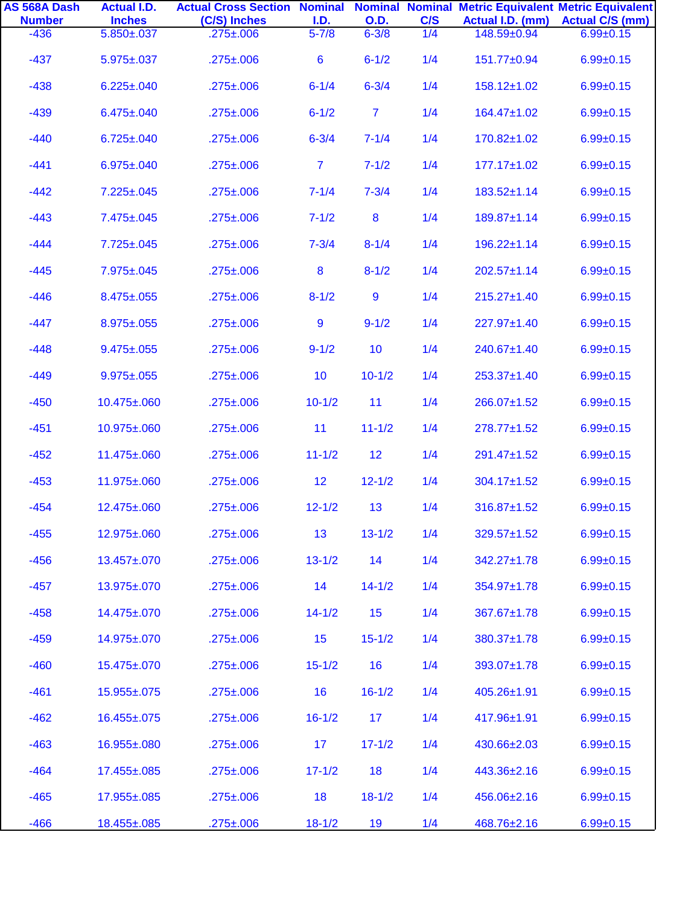| AS 568A Dash<br><b>Number</b> | <b>Actual I.D.</b><br><b>Inches</b> | <b>Actual Cross Section Nominal Nominal Nominal Metric Equivalent Metric Equivalent</b><br>(C/S) Inches | I.D.           | <b>O.D.</b>    | C/S | Actual I.D. (mm)  | <b>Actual C/S (mm)</b> |
|-------------------------------|-------------------------------------|---------------------------------------------------------------------------------------------------------|----------------|----------------|-----|-------------------|------------------------|
| $-436$                        | $5.850 \pm .037$                    | $.275 \pm .006$                                                                                         | $5 - 7/8$      | $6 - 3/8$      | 1/4 | 148.59±0.94       | $6.99 \pm 0.15$        |
| $-437$                        | $5.975 \pm 0.037$                   | $.275 \pm .006$                                                                                         | $6\phantom{1}$ | $6 - 1/2$      | 1/4 | 151.77±0.94       | $6.99 \pm 0.15$        |
| $-438$                        | $6.225 \pm .040$                    | $.275 \pm .006$                                                                                         | $6 - 1/4$      | $6 - 3/4$      | 1/4 | 158.12±1.02       | $6.99 \pm 0.15$        |
| $-439$                        | $6.475 \pm 0.040$                   | $.275 \pm .006$                                                                                         | $6 - 1/2$      | $\overline{7}$ | 1/4 | 164.47±1.02       | $6.99 \pm 0.15$        |
| $-440$                        | $6.725 \pm 0.040$                   | $.275 \pm .006$                                                                                         | $6 - 3/4$      | $7 - 1/4$      | 1/4 | 170.82±1.02       | $6.99 \pm 0.15$        |
| $-441$                        | $6.975 \pm 0.040$                   | $.275 \pm .006$                                                                                         | $\overline{7}$ | $7 - 1/2$      | 1/4 | $177.17 \pm 1.02$ | $6.99 \pm 0.15$        |
| $-442$                        | $7.225 \pm 0.045$                   | $.275 \pm .006$                                                                                         | $7 - 1/4$      | $7 - 3/4$      | 1/4 | 183.52±1.14       | $6.99 \pm 0.15$        |
| $-443$                        | 7.475±.045                          | $.275 \pm .006$                                                                                         | $7 - 1/2$      | 8              | 1/4 | 189.87±1.14       | $6.99 \pm 0.15$        |
| $-444$                        | $7.725 \pm 0.045$                   | $.275 \pm .006$                                                                                         | $7 - 3/4$      | $8 - 1/4$      | 1/4 | $196.22 \pm 1.14$ | $6.99 \pm 0.15$        |
| $-445$                        | $7.975 \pm 0.045$                   | $.275 \pm .006$                                                                                         | 8              | $8 - 1/2$      | 1/4 | $202.57 \pm 1.14$ | $6.99 \pm 0.15$        |
| $-446$                        | $8.475 \pm 0.055$                   | $.275 \pm .006$                                                                                         | $8 - 1/2$      | $\overline{9}$ | 1/4 | $215.27 \pm 1.40$ | $6.99 \pm 0.15$        |
| $-447$                        | $8.975 \pm 0.055$                   | $.275 \pm .006$                                                                                         | 9              | $9 - 1/2$      | 1/4 | 227.97±1.40       | $6.99 \pm 0.15$        |
| $-448$                        | $9.475 \pm 0.055$                   | $.275 \pm .006$                                                                                         | $9 - 1/2$      | 10             | 1/4 | 240.67±1.40       | $6.99 \pm 0.15$        |
| $-449$                        | $9.975 \pm 0.055$                   | $.275 \pm .006$                                                                                         | 10             | $10 - 1/2$     | 1/4 | 253.37±1.40       | $6.99 \pm 0.15$        |
| $-450$                        | 10.475±.060                         | $.275 \pm .006$                                                                                         | $10 - 1/2$     | 11             | 1/4 | 266.07±1.52       | $6.99 \pm 0.15$        |
| $-451$                        | 10.975±.060                         | $.275 \pm .006$                                                                                         | 11             | $11 - 1/2$     | 1/4 | $278.77 \pm 1.52$ | $6.99 \pm 0.15$        |
| $-452$                        | 11.475±.060                         | $.275 \pm .006$                                                                                         | $11 - 1/2$     | 12             | 1/4 | 291.47±1.52       | $6.99 \pm 0.15$        |
| $-453$                        | 11.975±.060                         | $.275 \pm .006$                                                                                         | 12             | $12 - 1/2$     | 1/4 | $304.17 \pm 1.52$ | $6.99 \pm 0.15$        |
| $-454$                        | 12.475±.060                         | $.275 \pm .006$                                                                                         | $12 - 1/2$     | 13             | 1/4 | 316.87±1.52       | $6.99 \pm 0.15$        |
| $-455$                        | 12.975±.060                         | $.275 \pm .006$                                                                                         | 13             | $13 - 1/2$     | 1/4 | 329.57±1.52       | $6.99 \pm 0.15$        |
| $-456$                        | 13.457±.070                         | $.275 \pm .006$                                                                                         | $13 - 1/2$     | 14             | 1/4 | 342.27±1.78       | $6.99 \pm 0.15$        |
| $-457$                        | 13.975±.070                         | $.275 \pm .006$                                                                                         | 14             | $14 - 1/2$     | 1/4 | 354.97±1.78       | $6.99 \pm 0.15$        |
| $-458$                        | 14.475±.070                         | $.275 \pm .006$                                                                                         | $14 - 1/2$     | 15             | 1/4 | 367.67±1.78       | $6.99 \pm 0.15$        |
| $-459$                        | 14.975±.070                         | $.275 \pm .006$                                                                                         | 15             | $15 - 1/2$     | 1/4 | 380.37±1.78       | $6.99 \pm 0.15$        |
| $-460$                        | 15.475±.070                         | $.275 \pm .006$                                                                                         | $15 - 1/2$     | 16             | 1/4 | 393.07±1.78       | $6.99 \pm 0.15$        |
| $-461$                        | 15.955±.075                         | $.275 \pm .006$                                                                                         | 16             | $16 - 1/2$     | 1/4 | 405.26±1.91       | $6.99 \pm 0.15$        |
| $-462$                        | 16.455±.075                         | $.275 \pm .006$                                                                                         | $16 - 1/2$     | 17             | 1/4 | 417.96±1.91       | $6.99 \pm 0.15$        |
| $-463$                        | 16.955±.080                         | $.275 \pm .006$                                                                                         | 17             | $17 - 1/2$     | 1/4 | 430.66±2.03       | $6.99 \pm 0.15$        |
| $-464$                        | 17.455±.085                         | $.275 \pm .006$                                                                                         | $17 - 1/2$     | 18             | 1/4 | 443.36±2.16       | $6.99 \pm 0.15$        |
| $-465$                        | 17.955±.085                         | $.275 \pm .006$                                                                                         | 18             | $18 - 1/2$     | 1/4 | 456.06±2.16       | $6.99 \pm 0.15$        |
| $-466$                        | 18.455±.085                         | $.275 \pm .006$                                                                                         | $18 - 1/2$     | 19             | 1/4 | 468.76±2.16       | $6.99 \pm 0.15$        |